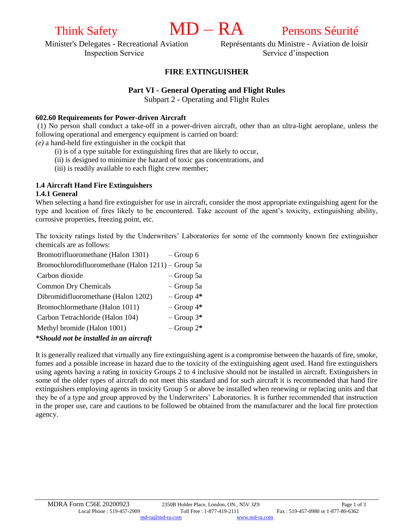# Think Safety **MD** – **RA** Pensons Séurité

Minister's Delegates - Recreational Aviation Représentants du Ministre - Aviation de loisir Inspection Service Service d'inspection

## **FIRE EXTINGUISHER**

### **Part VI - General Operating and Flight Rules**

Subpart 2 - Operating and Flight Rules

#### **602.60 Requirements for Power-driven Aircraft**

(1) No person shall conduct a take-off in a power-driven aircraft, other than an ultra-light aeroplane, unless the following operational and emergency equipment is carried on board:

*(e)* a hand-held fire extinguisher in the cockpit that

- (i) is of a type suitable for extinguishing fires that are likely to occur,
- (ii) is designed to minimize the hazard of toxic gas concentrations, and
- (iii) is readily available to each flight crew member;

# **1.4 Aircraft Hand Fire Extinguishers**

#### **1.4.1 General**

When selecting a hand fire extinguisher for use in aircraft, consider the most appropriate extinguishing agent for the type and location of fires likely to be encountered. Take account of the agent's toxicity, extinguishing ability, corrosive properties, freezing point, etc.

The toxicity ratings listed by the Underwriters' Laboratories for some of the commonly known fire extinguisher chemicals are as follows:

| Bromotrifluoromethane (Halon 1301)                                                          | $-$ Group 6     |
|---------------------------------------------------------------------------------------------|-----------------|
| Bromochlorodifluoromethane (Halon 1211) – Group 5a                                          |                 |
| Carbon dioxide                                                                              | $-$ Group 5a    |
| <b>Common Dry Chemicals</b>                                                                 | $-$ Group 5a    |
| Dibromidifluoromethane (Halon 1202)                                                         | $-$ Group 4*    |
| Bromochlormethane (Halon 1011)                                                              | $-$ Group $4*$  |
| Carbon Tetrachloride (Halon 104)                                                            | $-$ Group $3^*$ |
| Methyl bromide (Halon 1001)                                                                 | $-$ Group $2^*$ |
| $\star$ Cl. $\ldots$ I J $\ldots$ is to $\star$ if $\ldots$ I $\ldots$ is a set of $\ldots$ |                 |

#### *\*Should not be installed in an aircraft*

It is generally realized that virtually any fire extinguishing agent is a compromise between the hazards of fire, smoke, fumes and a possible increase in hazard due to the toxicity of the extinguishing agent used. Hand fire extinguishers using agents having a rating in toxicity Groups 2 to 4 inclusive should not be installed in aircraft. Extinguishers in some of the older types of aircraft do not meet this standard and for such aircraft it is recommended that hand fire extinguishers employing agents in toxicity Group 5 or above be installed when renewing or replacing units and that they be of a type and group approved by the Underwriters' Laboratories. It is further recommended that instruction in the proper use, care and cautions to be followed be obtained from the manufacturer and the local fire protection agency.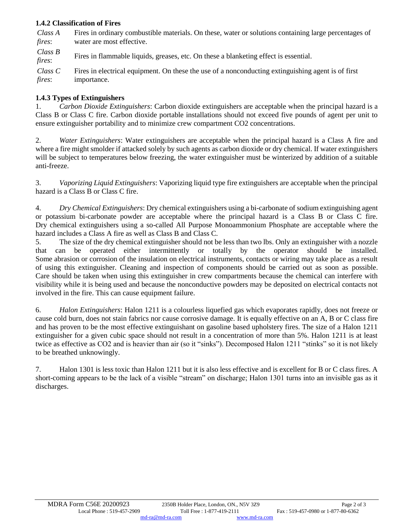### **1.4.2 Classification of Fires**

*Class A fires*: Fires in ordinary combustible materials. On these, water or solutions containing large percentages of water are most effective.

*Class B fires*: Fires in flammable liquids, greases, etc. On these a blanketing effect is essential.

*Class C fires*: Fires in electrical equipment. On these the use of a nonconducting extinguishing agent is of first importance.

#### **1.4.3 Types of Extinguishers**

1. *Carbon Dioxide Extinguishers*: Carbon dioxide extinguishers are acceptable when the principal hazard is a Class B or Class C fire. Carbon dioxide portable installations should not exceed five pounds of agent per unit to ensure extinguisher portability and to minimize crew compartment CO2 concentrations.

2. *Water Extinguishers*: Water extinguishers are acceptable when the principal hazard is a Class A fire and where a fire might smolder if attacked solely by such agents as carbon dioxide or dry chemical. If water extinguishers will be subject to temperatures below freezing, the water extinguisher must be winterized by addition of a suitable anti-freeze.

3. *Vaporizing Liquid Extinguishers*: Vaporizing liquid type fire extinguishers are acceptable when the principal hazard is a Class B or Class C fire.

4. *Dry Chemical Extinguishers*: Dry chemical extinguishers using a bi-carbonate of sodium extinguishing agent or potassium bi-carbonate powder are acceptable where the principal hazard is a Class B or Class C fire. Dry chemical extinguishers using a so-called All Purpose Monoammonium Phosphate are acceptable where the hazard includes a Class A fire as well as Class B and Class C.

5. The size of the dry chemical extinguisher should not be less than two lbs. Only an extinguisher with a nozzle that can be operated either intermittently or totally by the operator should be installed. Some abrasion or corrosion of the insulation on electrical instruments, contacts or wiring may take place as a result of using this extinguisher. Cleaning and inspection of components should be carried out as soon as possible. Care should be taken when using this extinguisher in crew compartments because the chemical can interfere with visibility while it is being used and because the nonconductive powders may be deposited on electrical contacts not involved in the fire. This can cause equipment failure.

6. *Halon Extinguishers*: Halon 1211 is a colourless liquefied gas which evaporates rapidly, does not freeze or cause cold burn, does not stain fabrics nor cause corrosive damage. It is equally effective on an A, B or C class fire and has proven to be the most effective extinguishant on gasoline based upholstery fires. The size of a Halon 1211 extinguisher for a given cubic space should not result in a concentration of more than 5%. Halon 1211 is at least twice as effective as CO2 and is heavier than air (so it "sinks"). Decomposed Halon 1211 "stinks" so it is not likely to be breathed unknowingly.

7. Halon 1301 is less toxic than Halon 1211 but it is also less effective and is excellent for B or C class fires. A short-coming appears to be the lack of a visible "stream" on discharge; Halon 1301 turns into an invisible gas as it discharges.